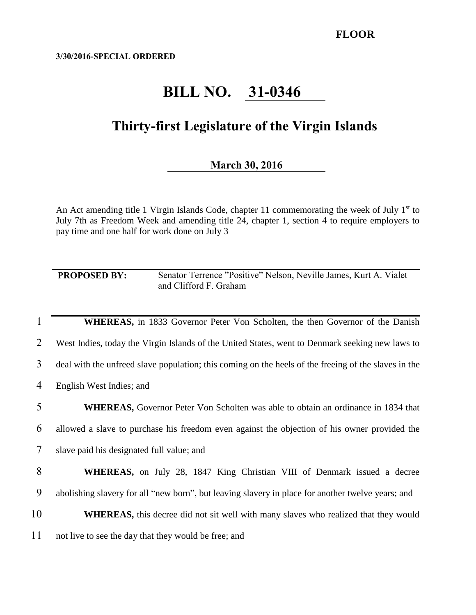**3/30/2016-SPECIAL ORDERED**

## **BILL NO. 31-0346**

## **Thirty-first Legislature of the Virgin Islands**

## **March 30, 2016**

An Act amending title 1 Virgin Islands Code, chapter 11 commemorating the week of July  $1<sup>st</sup>$  to July 7th as Freedom Week and amending title 24, chapter 1, section 4 to require employers to pay time and one half for work done on July 3

**PROPOSED BY:** Senator Terrence "Positive" Nelson, Neville James, Kurt A. Vialet and Clifford F. Graham

**WHEREAS**, in 1833 Governor Peter Von Scholten, the then Governor of the Danish West Indies, today the Virgin Islands of the United States, went to Denmark seeking new laws to deal with the unfreed slave population; this coming on the heels of the freeing of the slaves in the English West Indies; and **WHEREAS,** Governor Peter Von Scholten was able to obtain an ordinance in 1834 that allowed a slave to purchase his freedom even against the objection of his owner provided the slave paid his designated full value; and **WHEREAS,** on July 28, 1847 King Christian VIII of Denmark issued a decree abolishing slavery for all "new born", but leaving slavery in place for another twelve years; and **WHEREAS,** this decree did not sit well with many slaves who realized that they would 11 not live to see the day that they would be free; and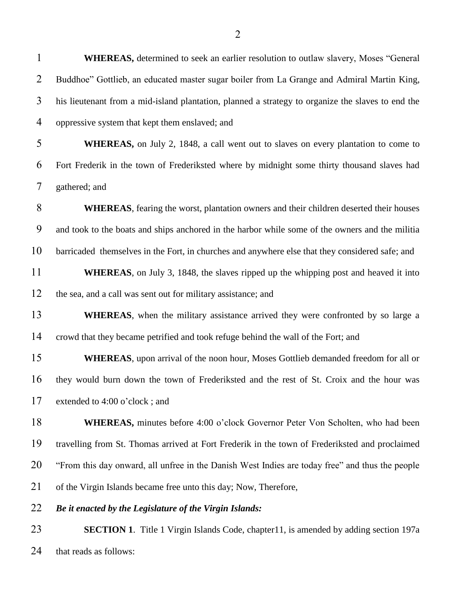| $\overline{2}$ | Buddhoe" Gottlieb, an educated master sugar boiler from La Grange and Admiral Martin King,        |
|----------------|---------------------------------------------------------------------------------------------------|
| 3              | his lieutenant from a mid-island plantation, planned a strategy to organize the slaves to end the |
| 4              | oppressive system that kept them enslaved; and                                                    |
| 5              | WHEREAS, on July 2, 1848, a call went out to slaves on every plantation to come to                |
| 6              | Fort Frederik in the town of Frederiksted where by midnight some thirty thousand slaves had       |
| 7              | gathered; and                                                                                     |
| 8              | <b>WHEREAS</b> , fearing the worst, plantation owners and their children deserted their houses    |
| 9              | and took to the boats and ships anchored in the harbor while some of the owners and the militia   |
| 10             | barricaded themselves in the Fort, in churches and anywhere else that they considered safe; and   |
| 11             | <b>WHEREAS</b> , on July 3, 1848, the slaves ripped up the whipping post and heaved it into       |
| 12             | the sea, and a call was sent out for military assistance; and                                     |
| 13             | <b>WHEREAS</b> , when the military assistance arrived they were confronted by so large a          |
| 14             | crowd that they became petrified and took refuge behind the wall of the Fort; and                 |
| 15             | <b>WHEREAS</b> , upon arrival of the noon hour, Moses Gottlieb demanded freedom for all or        |
| 16             | they would burn down the town of Frederiksted and the rest of St. Croix and the hour was          |
| 17             | extended to 4:00 o'clock; and                                                                     |
| 18             | <b>WHEREAS</b> , minutes before 4:00 o'clock Governor Peter Von Scholten, who had been            |
| 19             | travelling from St. Thomas arrived at Fort Frederik in the town of Frederiksted and proclaimed    |
| 20             | "From this day onward, all unfree in the Danish West Indies are today free" and thus the people   |
| 21             | of the Virgin Islands became free unto this day; Now, Therefore,                                  |
| 22             | Be it enacted by the Legislature of the Virgin Islands:                                           |
| 23             | <b>SECTION 1.</b> Title 1 Virgin Islands Code, chapter 11, is amended by adding section 197a      |
| 24             | that reads as follows:                                                                            |
|                |                                                                                                   |

**WHEREAS,** determined to seek an earlier resolution to outlaw slavery, Moses "General